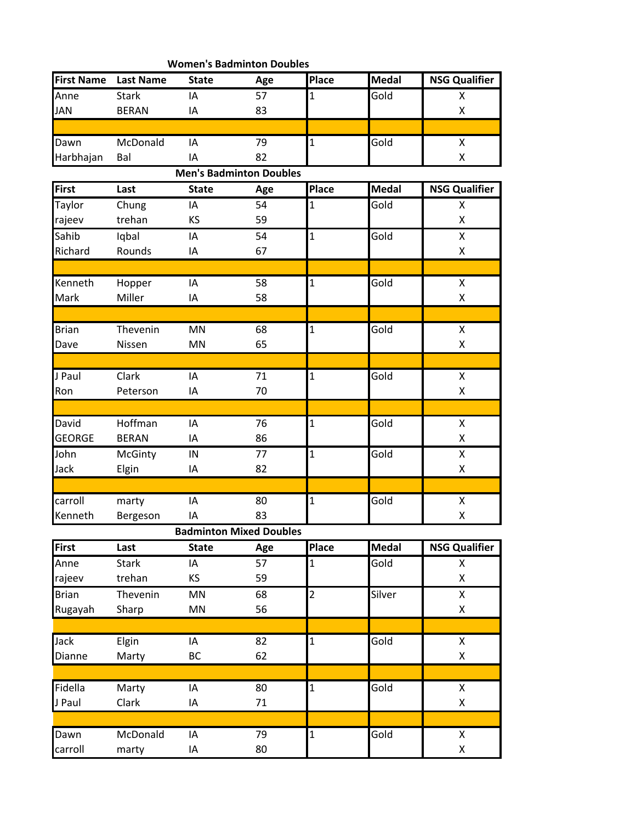| <b>Women's Badminton Doubles</b> |                  |              |                                |                |              |                      |  |  |  |  |
|----------------------------------|------------------|--------------|--------------------------------|----------------|--------------|----------------------|--|--|--|--|
| <b>First Name</b>                | <b>Last Name</b> | <b>State</b> | Age                            | Place          | <b>Medal</b> | <b>NSG Qualifier</b> |  |  |  |  |
| Anne                             | <b>Stark</b>     | IA           | 57                             | 1              | Gold         | X                    |  |  |  |  |
| <b>JAN</b>                       | <b>BERAN</b>     | IA           | 83                             |                |              | Χ                    |  |  |  |  |
|                                  |                  |              |                                |                |              |                      |  |  |  |  |
| Dawn                             | McDonald         | IA           | 79                             | $\overline{1}$ | Gold         | Χ                    |  |  |  |  |
| Harbhajan                        | Bal              | IA           | 82                             |                |              | $\pmb{\mathsf{X}}$   |  |  |  |  |
|                                  |                  |              | <b>Men's Badminton Doubles</b> |                |              |                      |  |  |  |  |
| First                            | Last             | <b>State</b> | Age                            | Place          | <b>Medal</b> | <b>NSG Qualifier</b> |  |  |  |  |
| Taylor                           | Chung            | IA           | 54                             | 1              | Gold         | Χ                    |  |  |  |  |
| rajeev                           | trehan           | KS           | 59                             |                |              | X                    |  |  |  |  |
| Sahib                            | Iqbal            | IA           | 54                             | $\overline{1}$ | Gold         | Χ                    |  |  |  |  |
| Richard                          | Rounds           | IA           | 67                             |                |              | $\pmb{\mathsf{X}}$   |  |  |  |  |
|                                  |                  |              |                                |                |              |                      |  |  |  |  |
| Kenneth                          | Hopper           | IA           | 58                             | $\overline{1}$ | Gold         | Χ                    |  |  |  |  |
| Mark                             | Miller           | IA           | 58                             |                |              | Χ                    |  |  |  |  |
|                                  |                  |              |                                |                |              |                      |  |  |  |  |
| <b>Brian</b>                     | Thevenin         | <b>MN</b>    | 68                             | $\overline{1}$ | Gold         | Χ                    |  |  |  |  |
| Dave                             | Nissen           | MN           | 65                             |                |              | $\pmb{\mathsf{X}}$   |  |  |  |  |
|                                  |                  |              |                                |                |              |                      |  |  |  |  |
| J Paul                           | Clark            | IA           | 71                             | $\mathbf{1}$   | Gold         | $\pmb{\mathsf{X}}$   |  |  |  |  |
| Ron                              | Peterson         | IA           | 70                             |                |              | Χ                    |  |  |  |  |
|                                  |                  |              |                                |                |              |                      |  |  |  |  |
| David                            | Hoffman          | IA           | 76                             | $\mathbf{1}$   | Gold         | Χ                    |  |  |  |  |
| <b>GEORGE</b>                    | <b>BERAN</b>     | IA           | 86                             |                |              | Χ                    |  |  |  |  |
| John                             | McGinty          | IN           | 77                             | $\mathbf{1}$   | Gold         | $\pmb{\mathsf{X}}$   |  |  |  |  |
| Jack                             | Elgin            | IA           | 82                             |                |              | $\pmb{\mathsf{X}}$   |  |  |  |  |
|                                  |                  |              |                                |                |              |                      |  |  |  |  |
| carroll                          | marty            | IA           | 80                             | $\mathbf 1$    | Gold         | $\pmb{\mathsf{X}}$   |  |  |  |  |
| Kenneth                          | Bergeson         | IA           | 83                             |                |              | Χ                    |  |  |  |  |
|                                  |                  |              | <b>Badminton Mixed Doubles</b> |                |              |                      |  |  |  |  |
| <b>First</b>                     | Last             | <b>State</b> | Age                            | Place          | <b>Medal</b> | <b>NSG Qualifier</b> |  |  |  |  |
| Anne                             | <b>Stark</b>     | IA           | 57                             | 1              | Gold         | X                    |  |  |  |  |
| rajeev                           | trehan           | KS           | 59                             |                |              | Χ                    |  |  |  |  |
| <b>Brian</b>                     | Thevenin         | MN           | 68                             | $\overline{2}$ | Silver       | Χ                    |  |  |  |  |
| Rugayah                          | Sharp            | MN           | 56                             |                |              | Χ                    |  |  |  |  |
|                                  |                  |              |                                |                |              |                      |  |  |  |  |
| Jack                             | Elgin            | IA           | 82                             | $\mathbf 1$    | Gold         | Χ                    |  |  |  |  |
| Dianne                           | Marty            | <b>BC</b>    | 62                             |                |              | $\pmb{\mathsf{X}}$   |  |  |  |  |
|                                  |                  |              |                                |                |              |                      |  |  |  |  |
| Fidella                          | Marty            | IA           | 80                             | $\mathbf{1}$   | Gold         | Χ                    |  |  |  |  |
| J Paul                           | Clark            | IA           | 71                             |                |              | $\pmb{\mathsf{X}}$   |  |  |  |  |
|                                  |                  |              |                                |                |              |                      |  |  |  |  |
| Dawn                             | McDonald         | IA           | 79                             | $\mathbf{1}$   | Gold         | Χ                    |  |  |  |  |
| carroll                          | marty            | IA           | 80                             |                |              | $\pmb{\mathsf{X}}$   |  |  |  |  |
|                                  |                  |              |                                |                |              |                      |  |  |  |  |